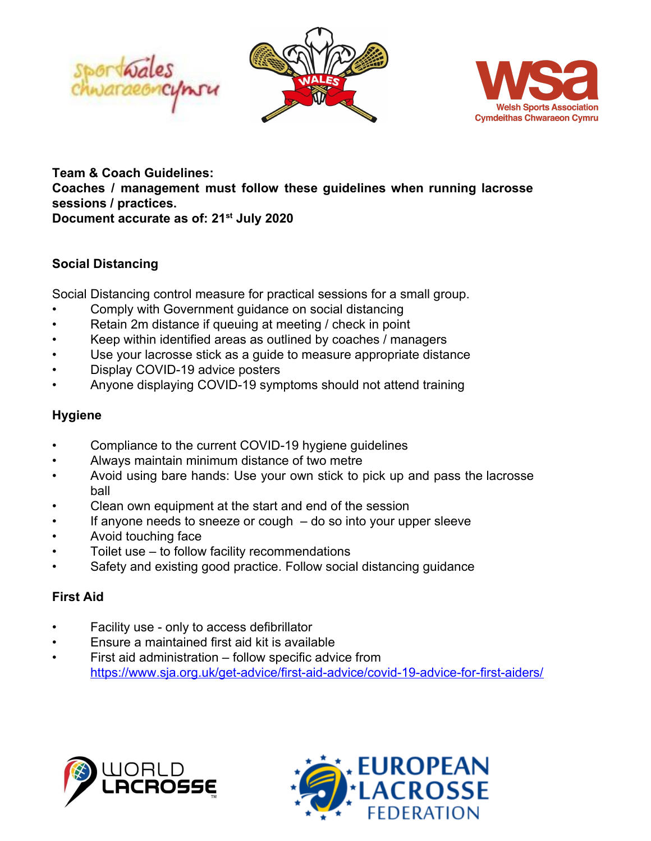



#### **Team & Coach Guidelines: Coaches / management must follow these guidelines when running lacrosse sessions / practices. Document accurate as of: 21st July 2020**

# **Social Distancing**

Social Distancing control measure for practical sessions for a small group.

- Comply with Government guidance on social distancing
- Retain 2m distance if queuing at meeting / check in point
- Keep within identified areas as outlined by coaches / managers
- Use your lacrosse stick as a guide to measure appropriate distance
- Display COVID-19 advice posters
- Anyone displaying COVID-19 symptoms should not attend training

# **Hygiene**

- Compliance to the current COVID-19 hygiene guidelines
- Always maintain minimum distance of two metre
- Avoid using bare hands: Use your own stick to pick up and pass the lacrosse ball
- Clean own equipment at the start and end of the session
- If anyone needs to sneeze or cough  $-$  do so into your upper sleeve
- Avoid touching face
- Toilet use to follow facility recommendations
- Safety and existing good practice. Follow social distancing guidance

#### **First Aid**

- Facility use only to access defibrillator
- Ensure a maintained first aid kit is available
- First aid administration follow specific advice from <https://www.sja.org.uk/get-advice/first-aid-advice/covid-19-advice-for-first-aiders/>



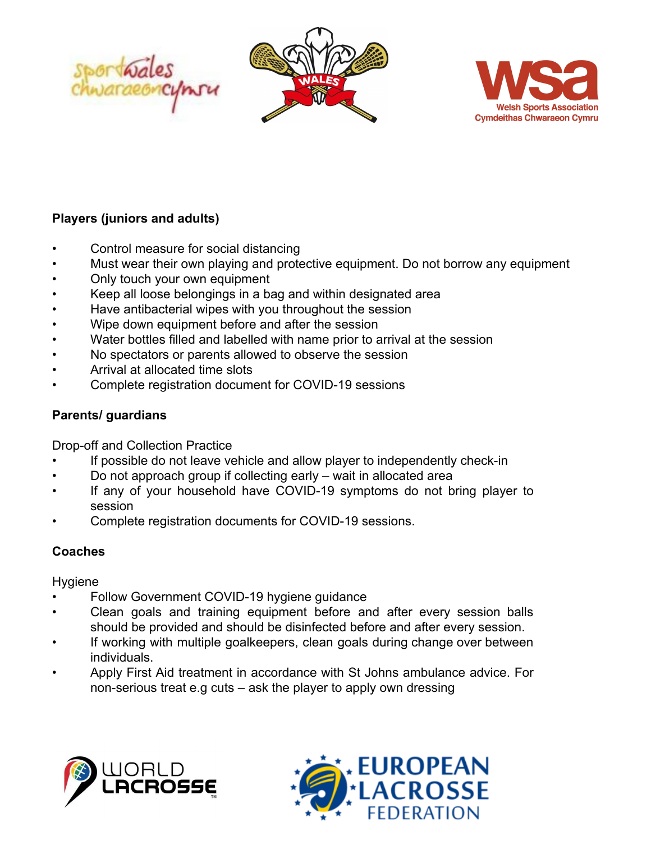



## **Players (juniors and adults)**

- Control measure for social distancing
- Must wear their own playing and protective equipment. Do not borrow any equipment
- Only touch your own equipment
- Keep all loose belongings in a bag and within designated area
- Have antibacterial wipes with you throughout the session
- Wipe down equipment before and after the session
- Water bottles filled and labelled with name prior to arrival at the session
- No spectators or parents allowed to observe the session
- Arrival at allocated time slots
- Complete registration document for COVID-19 sessions

# **Parents/ guardians**

Drop-off and Collection Practice

- If possible do not leave vehicle and allow player to independently check-in
- Do not approach group if collecting early wait in allocated area
- If any of your household have COVID-19 symptoms do not bring player to session
- Complete registration documents for COVID-19 sessions.

# **Coaches**

Hygiene

- Follow Government COVID-19 hygiene guidance
- Clean goals and training equipment before and after every session balls should be provided and should be disinfected before and after every session.
- If working with multiple goalkeepers, clean goals during change over between individuals.
- Apply First Aid treatment in accordance with St Johns ambulance advice. For non-serious treat e.g cuts – ask the player to apply own dressing



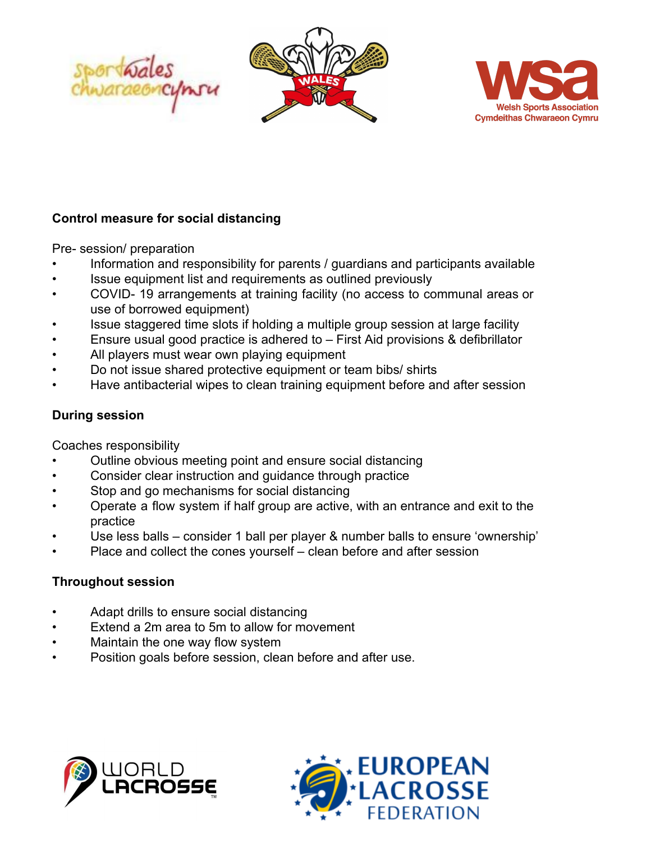



## **Control measure for social distancing**

Pre- session/ preparation

- Information and responsibility for parents / guardians and participants available
- Issue equipment list and requirements as outlined previously
- COVID- 19 arrangements at training facility (no access to communal areas or use of borrowed equipment)
- Issue staggered time slots if holding a multiple group session at large facility
- Ensure usual good practice is adhered to  $-$  First Aid provisions & defibrillator
- All players must wear own playing equipment
- Do not issue shared protective equipment or team bibs/ shirts
- Have antibacterial wipes to clean training equipment before and after session

# **During session**

Coaches responsibility

- Outline obvious meeting point and ensure social distancing
- Consider clear instruction and guidance through practice
- Stop and go mechanisms for social distancing
- Operate a flow system if half group are active, with an entrance and exit to the practice
- Use less balls consider 1 ball per player & number balls to ensure 'ownership'
- Place and collect the cones yourself clean before and after session

#### **Throughout session**

- Adapt drills to ensure social distancing
- Extend a 2m area to 5m to allow for movement
- Maintain the one way flow system
- Position goals before session, clean before and after use.